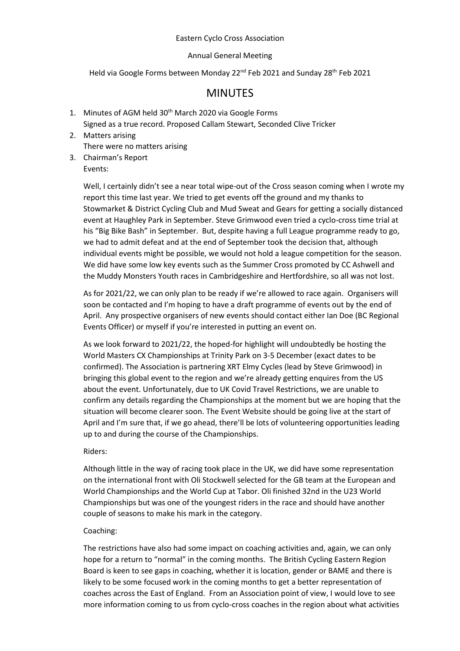## Eastern Cyclo Cross Association

## Annual General Meeting

Held via Google Forms between Monday 22<sup>nd</sup> Feb 2021 and Sunday 28<sup>th</sup> Feb 2021

# MINUTES

- 1. Minutes of AGM held 30<sup>th</sup> March 2020 via Google Forms Signed as a true record. Proposed Callam Stewart, Seconded Clive Tricker
- 2. Matters arising There were no matters arising
- 3. Chairman's Report Events:

Well, I certainly didn't see a near total wipe-out of the Cross season coming when I wrote my report this time last year. We tried to get events off the ground and my thanks to Stowmarket & District Cycling Club and Mud Sweat and Gears for getting a socially distanced event at Haughley Park in September. Steve Grimwood even tried a cyclo-cross time trial at his "Big Bike Bash" in September. But, despite having a full League programme ready to go, we had to admit defeat and at the end of September took the decision that, although individual events might be possible, we would not hold a league competition for the season. We did have some low key events such as the Summer Cross promoted by CC Ashwell and the Muddy Monsters Youth races in Cambridgeshire and Hertfordshire, so all was not lost.

As for 2021/22, we can only plan to be ready if we're allowed to race again. Organisers will soon be contacted and I'm hoping to have a draft programme of events out by the end of April. Any prospective organisers of new events should contact either Ian Doe (BC Regional Events Officer) or myself if you're interested in putting an event on.

As we look forward to 2021/22, the hoped-for highlight will undoubtedly be hosting the World Masters CX Championships at Trinity Park on 3-5 December (exact dates to be confirmed). The Association is partnering XRT Elmy Cycles (lead by Steve Grimwood) in bringing this global event to the region and we're already getting enquires from the US about the event. Unfortunately, due to UK Covid Travel Restrictions, we are unable to confirm any details regarding the Championships at the moment but we are hoping that the situation will become clearer soon. The Event Website should be going live at the start of April and I'm sure that, if we go ahead, there'll be lots of volunteering opportunities leading up to and during the course of the Championships.

### Riders:

Although little in the way of racing took place in the UK, we did have some representation on the international front with Oli Stockwell selected for the GB team at the European and World Championships and the World Cup at Tabor. Oli finished 32nd in the U23 World Championships but was one of the youngest riders in the race and should have another couple of seasons to make his mark in the category.

# Coaching:

The restrictions have also had some impact on coaching activities and, again, we can only hope for a return to "normal" in the coming months. The British Cycling Eastern Region Board is keen to see gaps in coaching, whether it is location, gender or BAME and there is likely to be some focused work in the coming months to get a better representation of coaches across the East of England. From an Association point of view, I would love to see more information coming to us from cyclo-cross coaches in the region about what activities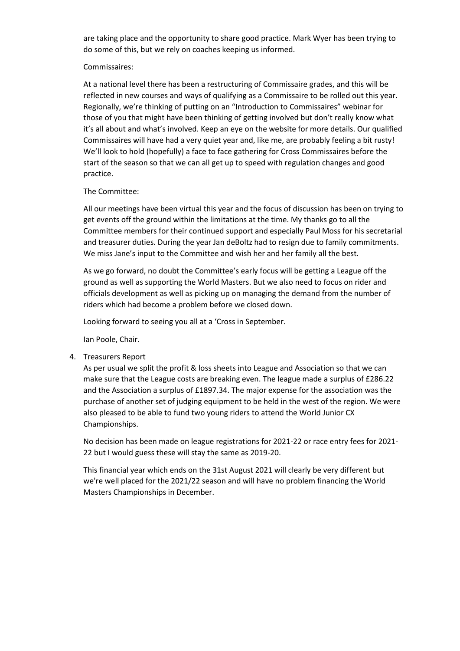are taking place and the opportunity to share good practice. Mark Wyer has been trying to do some of this, but we rely on coaches keeping us informed.

#### Commissaires:

At a national level there has been a restructuring of Commissaire grades, and this will be reflected in new courses and ways of qualifying as a Commissaire to be rolled out this year. Regionally, we're thinking of putting on an "Introduction to Commissaires" webinar for those of you that might have been thinking of getting involved but don't really know what it's all about and what's involved. Keep an eye on the website for more details. Our qualified Commissaires will have had a very quiet year and, like me, are probably feeling a bit rusty! We'll look to hold (hopefully) a face to face gathering for Cross Commissaires before the start of the season so that we can all get up to speed with regulation changes and good practice.

### The Committee:

All our meetings have been virtual this year and the focus of discussion has been on trying to get events off the ground within the limitations at the time. My thanks go to all the Committee members for their continued support and especially Paul Moss for his secretarial and treasurer duties. During the year Jan deBoltz had to resign due to family commitments. We miss Jane's input to the Committee and wish her and her family all the best.

As we go forward, no doubt the Committee's early focus will be getting a League off the ground as well as supporting the World Masters. But we also need to focus on rider and officials development as well as picking up on managing the demand from the number of riders which had become a problem before we closed down.

Looking forward to seeing you all at a 'Cross in September.

Ian Poole, Chair.

4. Treasurers Report

As per usual we split the profit & loss sheets into League and Association so that we can make sure that the League costs are breaking even. The league made a surplus of £286.22 and the Association a surplus of £1897.34. The major expense for the association was the purchase of another set of judging equipment to be held in the west of the region. We were also pleased to be able to fund two young riders to attend the World Junior CX Championships.

No decision has been made on league registrations for 2021-22 or race entry fees for 2021- 22 but I would guess these will stay the same as 2019-20.

This financial year which ends on the 31st August 2021 will clearly be very different but we're well placed for the 2021/22 season and will have no problem financing the World Masters Championships in December.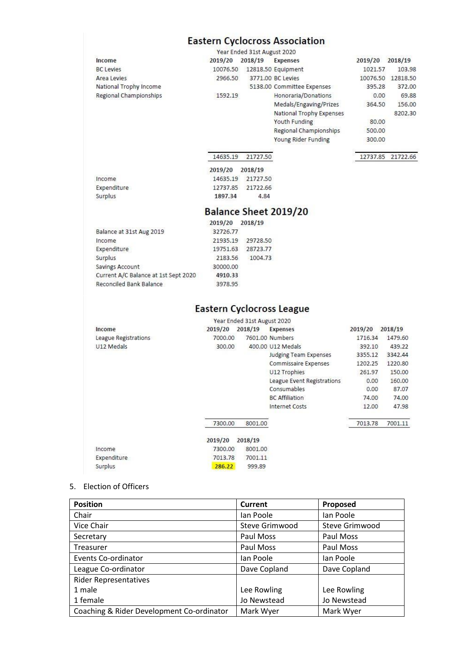# **Eastern Cyclocross Association**

|                                      |                                  | Year Ended 31st August 2020 |                                 |                            |                   |
|--------------------------------------|----------------------------------|-----------------------------|---------------------------------|----------------------------|-------------------|
| Income                               |                                  | 2019/20 2018/19 Expenses    |                                 |                            | 2019/20 2018/19   |
| <b>BC Levies</b>                     | 10076.50                         |                             | 12818.50 Equipment              | 1021.57                    | 103.98            |
| Area Levies                          | 2966.50                          |                             | 3771.00 BC Levies               |                            | 10076.50 12818.50 |
| National Trophy Income               |                                  |                             | 5138.00 Committee Expenses      | 395.28                     | 372.00            |
| Regional Championships               | 1592.19                          |                             | Honoraria/Donations             | 0.00                       | 69.88             |
|                                      |                                  |                             | Medals/Engaving/Prizes          | 364.50                     | 156.00            |
|                                      |                                  |                             | <b>National Trophy Expenses</b> |                            | 8202.30           |
|                                      |                                  |                             | Youth Funding                   | 80.00                      |                   |
|                                      |                                  |                             | Regional Championships          | 500.00                     |                   |
|                                      |                                  |                             | Young Rider Funding             | 300.00                     |                   |
|                                      | 14635.19                         | 21727.50                    |                                 | 12737.85                   | 21722.66          |
|                                      | 2019/20                          | 2018/19                     |                                 |                            |                   |
| Income                               | 14635.19                         | 21727.50                    |                                 |                            |                   |
| Expenditure                          | 12737.85                         | 21722.66                    |                                 |                            |                   |
| Surplus                              | 1897.34                          | 4.84                        |                                 |                            |                   |
|                                      |                                  |                             | Balance Sheet 2019/20           |                            |                   |
|                                      | 2019/20                          | 2018/19                     |                                 |                            |                   |
| Balance at 31st Aug 2019             | 32726.77                         |                             |                                 |                            |                   |
| Income                               | 21935.19                         | 29728.50                    |                                 |                            |                   |
| Expenditure                          | 19751.63                         | 28723.77                    |                                 |                            |                   |
| Surplus                              | 2183.56                          | 1004.73                     |                                 |                            |                   |
| Savings Account                      | 30000.00                         |                             |                                 |                            |                   |
|                                      |                                  |                             |                                 |                            |                   |
| Current A/C Balance at 1st Sept 2020 | 4910.33                          |                             |                                 |                            |                   |
| Reconciled Bank Balance              | 3978.95                          |                             |                                 |                            |                   |
|                                      | <b>Eastern Cyclocross League</b> |                             |                                 |                            |                   |
|                                      |                                  |                             |                                 |                            |                   |
| Income                               |                                  | Year Ended 31st August 2020 |                                 |                            |                   |
|                                      | 2019/20<br>7000.00               | 2018/19                     | <b>Expenses</b>                 | 2019/20 2018/19<br>1716.34 | 1479.60           |
| League Registrations<br>U12 Medals   | 300.00                           | 7601.00 Numbers             | 400.00 U12 Medals               | 392.10                     | 439.22            |
|                                      |                                  |                             | <b>Judging Team Expenses</b>    | 3355.12                    | 3342.44           |
|                                      |                                  |                             | Commissaire Expenses            | 1202.25                    | 1220.80           |
|                                      |                                  |                             | U12 Trophies                    | 261.97                     | 150.00            |
|                                      |                                  |                             | League Event Registrations      | 0.00                       | 160.00            |
|                                      |                                  |                             | Consumables                     | 0.00                       | 87.07             |
|                                      |                                  |                             | <b>BC</b> Affiliation           | 74.00                      | 74.00             |
|                                      |                                  |                             | <b>Internet Costs</b>           | 12.00                      | 47.98             |
|                                      | 7300.00                          | 8001.00                     |                                 | 7013.78                    | 7001.11           |
|                                      | 2019/20                          | 2018/19                     |                                 |                            |                   |
| Income                               | 7300.00                          | 8001.00                     |                                 |                            |                   |
| Expenditure                          | 7013.78                          | 7001.11                     |                                 |                            |                   |

# 5. Election of Officers

| <b>Position</b>                           | <b>Current</b>        | Proposed              |
|-------------------------------------------|-----------------------|-----------------------|
| Chair                                     | lan Poole             | lan Poole             |
| Vice Chair                                | <b>Steve Grimwood</b> | <b>Steve Grimwood</b> |
| Secretary                                 | Paul Moss             | Paul Moss             |
| Treasurer                                 | Paul Moss             | Paul Moss             |
| <b>Events Co-ordinator</b>                | lan Poole             | lan Poole             |
| League Co-ordinator                       | Dave Copland          | Dave Copland          |
| <b>Rider Representatives</b>              |                       |                       |
| 1 male                                    | Lee Rowling           | Lee Rowling           |
| 1 female                                  | Jo Newstead           | Jo Newstead           |
| Coaching & Rider Development Co-ordinator | Mark Wyer             | Mark Wyer             |